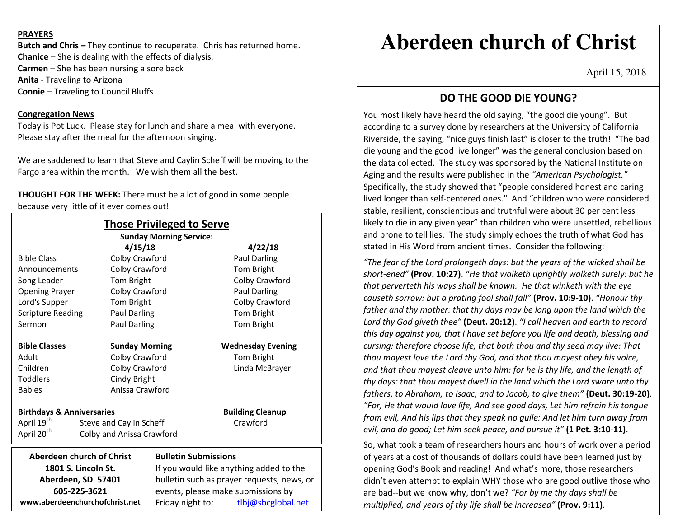## **PRAYERS**

**Butch and Chris –** They continue to recuperate. Chris has returned home. **Chanice** – She is dealing with the effects of dialysis. **Carmen** – She has been nursing a sore back **Anita** - Traveling to Arizona **Connie** – Traveling to Council Bluffs

### **Congregation News**

 Today is Pot Luck. Please stay for lunch and share a meal with everyone. Please stay after the meal for the afternoon singing.

We are saddened to learn that Steve and Caylin Scheff will be moving to the Fargo area within the month. We wish them all the best.

**THOUGHT FOR THE WEEK:** There must be a lot of good in some people because very little of it ever comes out!

| <b>Those Privileged to Serve</b>                    |                       |                                            |                          |
|-----------------------------------------------------|-----------------------|--------------------------------------------|--------------------------|
| <b>Sunday Morning Service:</b>                      |                       |                                            |                          |
|                                                     | 4/15/18               |                                            | 4/22/18                  |
| <b>Bible Class</b>                                  | Colby Crawford        |                                            | Paul Darling             |
| Announcements                                       | Colby Crawford        |                                            | Tom Bright               |
| Song Leader                                         | Tom Bright            |                                            | Colby Crawford           |
| <b>Opening Prayer</b>                               | Colby Crawford        |                                            | Paul Darling             |
| Lord's Supper<br>Tom Bright                         |                       |                                            | Colby Crawford           |
| Paul Darling<br><b>Scripture Reading</b>            |                       |                                            | Tom Bright               |
| Sermon                                              | Paul Darling          |                                            | Tom Bright               |
| <b>Bible Classes</b>                                | <b>Sunday Morning</b> |                                            | <b>Wednesday Evening</b> |
| Adult                                               | Colby Crawford        |                                            | Tom Bright               |
| Children                                            | Colby Crawford        |                                            | Linda McBrayer           |
| <b>Toddlers</b>                                     | Cindy Bright          |                                            |                          |
| <b>Babies</b>                                       | Anissa Crawford       |                                            |                          |
| <b>Birthdays &amp; Anniversaries</b>                |                       |                                            | <b>Building Cleanup</b>  |
| April 19 <sup>th</sup><br>Steve and Caylin Scheff   |                       |                                            | Crawford                 |
| April 20 <sup>th</sup><br>Colby and Anissa Crawford |                       |                                            |                          |
| Aberdeen church of Christ                           |                       | <b>Bulletin Submissions</b>                |                          |
| 1801 S. Lincoln St.                                 |                       | If you would like anything added to the    |                          |
| Aberdeen, SD 57401                                  |                       | bulletin such as prayer requests, news, or |                          |
| 605-225-3621                                        |                       | events, please make submissions by         |                          |
| www.aberdeenchurchofchrist.net                      |                       | Friday night to:                           | tlbj@sbcglobal.net       |

# **Aberdeen church of Christ**

April 15, 2018

# **DO THE GOOD DIE YOUNG?**

You most likely have heard the old saying, "the good die young". But according to a survey done by researchers at the University of California Riverside, the saying, "nice guys finish last" is closer to the truth! "The bad die young and the good live longer" was the general conclusion based on the data collected. The study was sponsored by the National Institute on Aging and the results were published in the *"American Psychologist."* Specifically, the study showed that "people considered honest and caring lived longer than self-centered ones." And "children who were considered stable, resilient, conscientious and truthful were about 30 per cent less likely to die in any given year" than children who were unsettled, rebellious and prone to tell lies. The study simply echoes the truth of what God has stated in His Word from ancient times. Consider the following:

*"The fear of the Lord prolongeth days: but the years of the wicked shall be short-ened"* **(Prov. 10:27)**. *"He that walketh uprightly walketh surely: but he that perverteth his ways shall be known. He that winketh with the eye causeth sorrow: but a prating fool shall fall"* **(Prov. 10:9-10)**. *"Honour thy father and thy mother: that thy days may be long upon the land which the Lord thy God giveth thee"* **(Deut. 20:12)**. *"I call heaven and earth to record this day against you, that I have set before you life and death, blessing and cursing: therefore choose life, that both thou and thy seed may live: That thou mayest love the Lord thy God, and that thou mayest obey his voice, and that thou mayest cleave unto him: for he is thy life, and the length of thy days: that thou mayest dwell in the land which the Lord sware unto thy fathers, to Abraham, to Isaac, and to Jacob, to give them"* **(Deut. 30:19-20)**. *"For, He that would love life, And see good days, Let him refrain his tongue from evil, And his lips that they speak no guile: And let him turn away from evil, and do good; Let him seek peace, and pursue it"* **(1 Pet. 3:10-11)**.

So, what took a team of researchers hours and hours of work over a period of years at a cost of thousands of dollars could have been learned just by opening God's Book and reading! And what's more, those researchers didn't even attempt to explain WHY those who are good outlive those who are bad--but we know why, don't we? *"For by me thy days shall be multiplied, and years of thy life shall be increased"* **(Prov. 9:11)**.